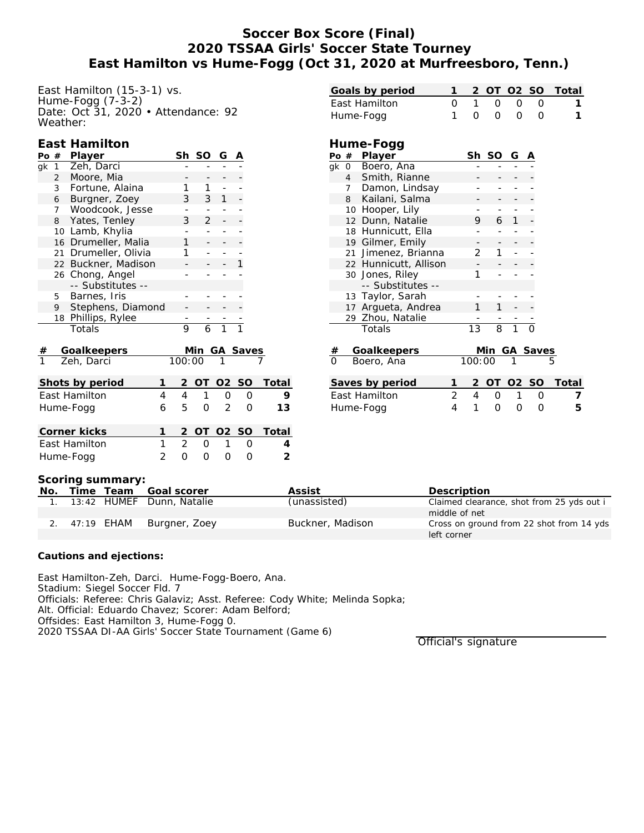## **Soccer Box Score (Final) 2020 TSSAA Girls' Soccer State Tourney East Hamilton vs Hume-Fogg (Oct 31, 2020 at Murfreesboro, Tenn.)**

East Hamilton (15-3-1) vs. Hume-Fogg (7-3-2) Date: Oct 31, 2020 • Attendance: 92 Weather:

#### **East Hamilton**

| Po | #              | Player               | Sh     | -SO | G            |                 |  |
|----|----------------|----------------------|--------|-----|--------------|-----------------|--|
| qk | $\mathbf{1}$   | Zeh, Darci           |        |     |              |                 |  |
|    | $\overline{2}$ | Moore, Mia           |        |     |              |                 |  |
|    | 3              | Fortune, Alaina      |        |     |              |                 |  |
|    | 6              | Burgner, Zoey        | 3      | 3   | $\mathbf{1}$ |                 |  |
|    | 7              | Woodcook, Jesse      |        |     |              |                 |  |
|    | 8              | Yates, Tenley        | 3      | 2.  |              |                 |  |
|    | 10             | Lamb, Khylia         |        |     |              |                 |  |
|    |                | 16 Drumeller, Malia  |        |     |              |                 |  |
|    |                | 21 Drumeller, Olivia |        |     |              |                 |  |
|    |                | 22 Buckner, Madison  |        |     |              |                 |  |
|    |                | 26 Chong, Angel      |        |     |              |                 |  |
|    |                | -- Substitutes --    |        |     |              |                 |  |
|    | 5              | Barnes, Iris         |        |     |              |                 |  |
|    | 9              | Stephens, Diamond    |        |     |              |                 |  |
|    |                | 18 Phillips, Rylee   |        |     |              |                 |  |
|    |                | Totals               | 9      | 6   |              |                 |  |
|    |                |                      |        |     |              |                 |  |
| #  |                | Goalkeepers          |        | Min |              | <b>GA Saves</b> |  |
|    |                | Zeh. Darci           | 100:00 |     |              |                 |  |

Zeh, Darci 100:00 1

| Shots by period      |   |    |   | 2 OT 02 SO          |                  | Total   |
|----------------------|---|----|---|---------------------|------------------|---------|
| East Hamilton        |   |    | 1 | $\left( \right)$    |                  |         |
| Hume-Fogg            | 6 | 5. |   | $0 \quad 2 \quad 0$ |                  | 13      |
| Corner kicks         |   |    |   | 2 OT 02 SO          |                  | - Total |
| <b>Fast Hamilton</b> |   |    | O |                     | $\left( \right)$ |         |
| Hume-Fogg            |   |    |   |                     |                  |         |

| Goals by period                |                |                       | 1 | 2              |       |              | OT 02 SO | Total |
|--------------------------------|----------------|-----------------------|---|----------------|-------|--------------|----------|-------|
| East Hamilton                  |                |                       | O | $\mathbf{1}$   | 0     | O            | O        | 1     |
| Hume-Fogg                      |                |                       | 1 | O              | O     | O            | O        | 1     |
|                                |                |                       |   |                |       |              |          |       |
|                                |                | Hume-Fogg             |   |                |       |              |          |       |
| Po $#$                         |                | Player                |   |                | Sh SO | G            |          |       |
| qk                             |                | 0 Boero, Ana          |   |                |       |              |          |       |
|                                | $\overline{4}$ | Smith, Rianne         |   |                |       |              |          |       |
|                                |                | 7 Damon, Lindsay      |   |                |       |              |          |       |
|                                |                | 8 Kailani, Salma      |   |                |       |              |          |       |
|                                | 10             | Hooper, Lily          |   |                |       |              |          |       |
|                                |                | 12 Dunn, Natalie      |   | 9              | 6     | $\mathbf{1}$ |          |       |
|                                |                | 18 Hunnicutt, Ella    |   |                |       |              |          |       |
|                                |                | 19 Gilmer, Emily      |   |                |       |              |          |       |
|                                |                | 21 Jimenez, Brianna   |   | $\overline{2}$ | 1     |              |          |       |
|                                |                | 22 Hunnicutt, Allison |   |                |       |              |          |       |
|                                |                | 30 Jones, Riley       |   | 1              |       |              |          |       |
|                                |                | -- Substitutes --     |   |                |       |              |          |       |
|                                |                | 13 Taylor, Sarah      |   |                |       |              |          |       |
|                                |                | 17 Argueta, Andrea    |   | 1              | 1     |              |          |       |
|                                |                | 29 Zhou, Natalie      |   |                |       |              |          |       |
|                                |                | Totals                |   | 13             | 8     | 1            |          |       |
|                                |                |                       |   |                | Min   |              |          |       |
| Goalkeepers<br>#<br>Boero, Ana |                |                       |   | 100:00         |       |              | GA Saves |       |
|                                |                |                       |   |                |       |              |          |       |
| Saves by period                |                |                       | 1 | 2              |       |              | OT 02 SO | Total |
| East Hamilton                  |                |                       | 2 | $\overline{4}$ | 0     | 1            | 0        | 7     |
| Hume-Fogg                      |                |                       | 4 | 1              | 0     | 0            | 0        | 5     |
|                                |                |                       |   |                |       |              |          |       |

#### **Scoring summary:**

| No. |               | Time Team Goal scorer        | Assist           | Description                               |
|-----|---------------|------------------------------|------------------|-------------------------------------------|
|     |               | 1. 13:42 HUMEF Dunn, Natalie | (unassisted)     | Claimed clearance, shot from 25 yds out i |
|     |               |                              |                  | middle of net                             |
|     | 2. 47:19 EHAM | Burgner, Zoey                | Buckner, Madison | Cross on ground from 22 shot from 14 yds  |
|     |               |                              |                  | left corner                               |

#### **Cautions and ejections:**

East Hamilton-Zeh, Darci. Hume-Fogg-Boero, Ana. Stadium: Siegel Soccer Fld. 7 Officials: Referee: Chris Galaviz; Asst. Referee: Cody White; Melinda Sopka; Alt. Official: Eduardo Chavez; Scorer: Adam Belford; Offsides: East Hamilton 3, Hume-Fogg 0. 2020 TSSAA DI-AA Girls' Soccer State Tournament (Game 6)

Official's signature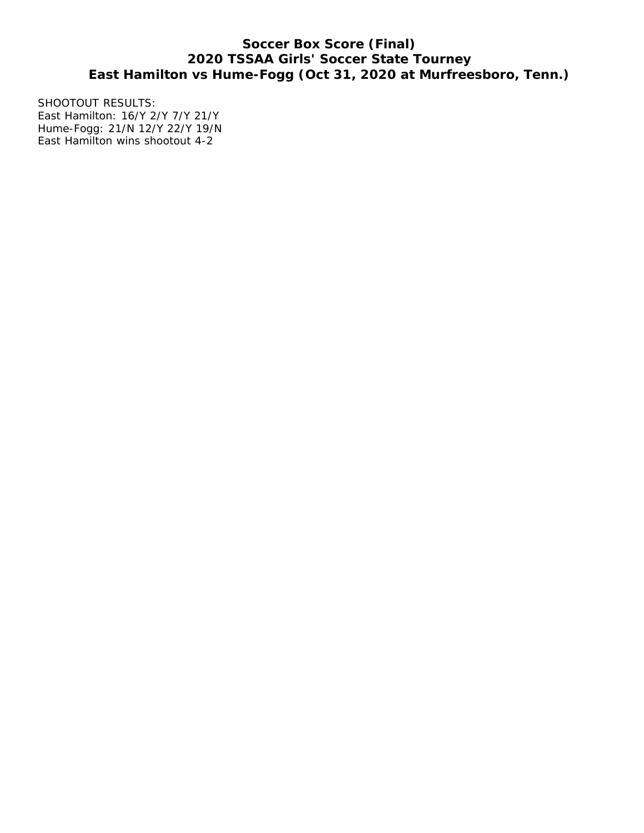# **Soccer Box Score (Final) 2020 TSSAA Girls' Soccer State Tourney East Hamilton vs Hume-Fogg (Oct 31, 2020 at Murfreesboro, Tenn.)**

SHOOTOUT RESULTS: East Hamilton: 16/Y 2/Y 7/Y 21/Y Hume-Fogg: 21/N 12/Y 22/Y 19/N East Hamilton wins shootout 4-2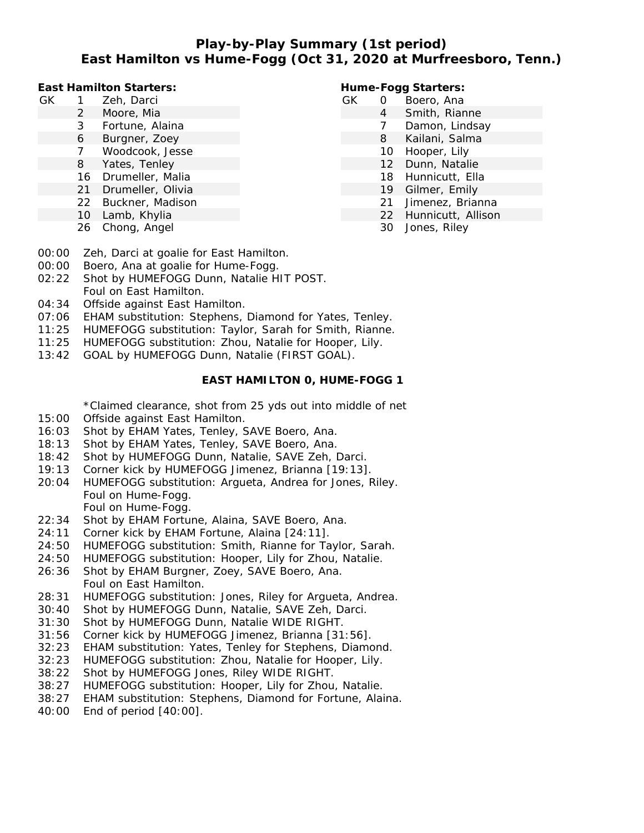# **Play-by-Play Summary (1st period) East Hamilton vs Hume-Fogg (Oct 31, 2020 at Murfreesboro, Tenn.)**

**East Hamilton Starters:**

- GK 1 Zeh, Darci
	- 2 Moore, Mia
	- 3 Fortune, Alaina
	- 6 Burgner, Zoey
	- 7 Woodcook, Jesse
	- 8 Yates, Tenley
	- 16 Drumeller, Malia
	- 21 Drumeller, Olivia
	- 22 Buckner, Madison
	- 10 Lamb, Khylia
	- 26 Chong, Angel

#### **Hume-Fogg Starters:**

- GK 0 Boero, Ana
	- 4 Smith, Rianne
	- 7 Damon, Lindsay
	- 8 Kailani, Salma
	- 10 Hooper, Lily
	- 12 Dunn, Natalie
	- 18 Hunnicutt, Ella
	- 19 Gilmer, Emily
	- 21 Jimenez, Brianna
	- 22 Hunnicutt, Allison
	- 30 Jones, Riley

- 00:00 Zeh, Darci at goalie for East Hamilton.
- 00:00 Boero, Ana at goalie for Hume-Fogg.
- 02:22 Shot by HUMEFOGG Dunn, Natalie HIT POST. Foul on East Hamilton.
- 04:34 Offside against East Hamilton.
- 07:06 EHAM substitution: Stephens, Diamond for Yates, Tenley.
- 11:25 HUMEFOGG substitution: Taylor, Sarah for Smith, Rianne.
- 11:25 HUMEFOGG substitution: Zhou, Natalie for Hooper, Lily.
- 13:42 GOAL by HUMEFOGG Dunn, Natalie (FIRST GOAL).

#### **EAST HAMILTON 0, HUME-FOGG 1**

\*Claimed clearance, shot from 25 yds out into middle of net

- 15:00 Offside against East Hamilton.
- 16:03 Shot by EHAM Yates, Tenley, SAVE Boero, Ana.
- 18:13 Shot by EHAM Yates, Tenley, SAVE Boero, Ana.
- 18:42 Shot by HUMEFOGG Dunn, Natalie, SAVE Zeh, Darci.
- 19:13 Corner kick by HUMEFOGG Jimenez, Brianna [19:13].
- 20:04 HUMEFOGG substitution: Argueta, Andrea for Jones, Riley. Foul on Hume-Fogg. Foul on Hume-Fogg.
- 22:34 Shot by EHAM Fortune, Alaina, SAVE Boero, Ana.
- 24:11 Corner kick by EHAM Fortune, Alaina [24:11].
- 24:50 HUMEFOGG substitution: Smith, Rianne for Taylor, Sarah.
- 24:50 HUMEFOGG substitution: Hooper, Lily for Zhou, Natalie.
- 26:36 Shot by EHAM Burgner, Zoey, SAVE Boero, Ana. Foul on East Hamilton.
- 28:31 HUMEFOGG substitution: Jones, Riley for Argueta, Andrea.
- 30:40 Shot by HUMEFOGG Dunn, Natalie, SAVE Zeh, Darci.
- 31:30 Shot by HUMEFOGG Dunn, Natalie WIDE RIGHT.
- 31:56 Corner kick by HUMEFOGG Jimenez, Brianna [31:56].
- 32:23 EHAM substitution: Yates, Tenley for Stephens, Diamond.
- 32:23 HUMEFOGG substitution: Zhou, Natalie for Hooper, Lily.
- 38:22 Shot by HUMEFOGG Jones, Riley WIDE RIGHT.
- 38:27 HUMEFOGG substitution: Hooper, Lily for Zhou, Natalie.
- 38:27 EHAM substitution: Stephens, Diamond for Fortune, Alaina.
- 40:00 End of period [40:00].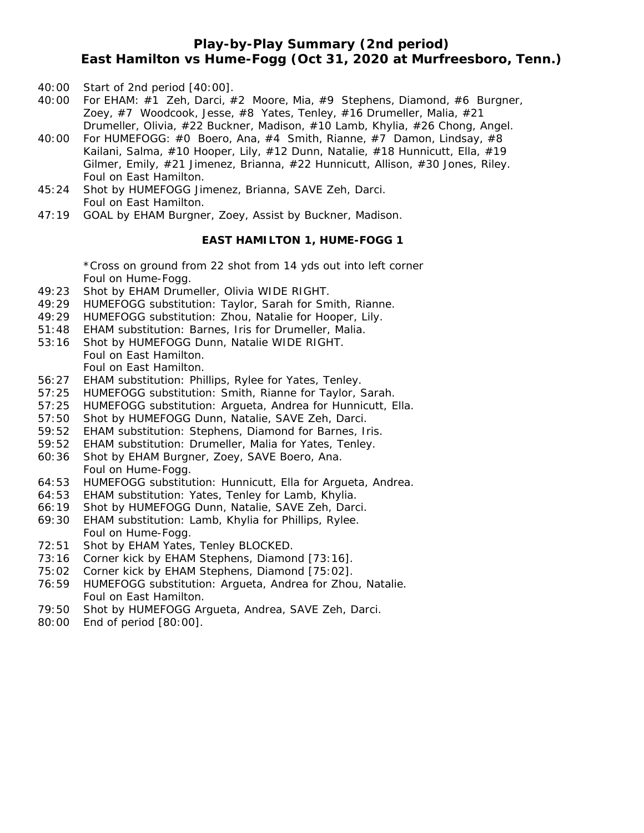### **Play-by-Play Summary (2nd period) East Hamilton vs Hume-Fogg (Oct 31, 2020 at Murfreesboro, Tenn.)**

- 40:00 Start of 2nd period [40:00].
- 40:00 For EHAM: #1 Zeh, Darci, #2 Moore, Mia, #9 Stephens, Diamond, #6 Burgner, Zoey, #7 Woodcook, Jesse, #8 Yates, Tenley, #16 Drumeller, Malia, #21 Drumeller, Olivia, #22 Buckner, Madison, #10 Lamb, Khylia, #26 Chong, Angel.
- 40:00 For HUMEFOGG: #0 Boero, Ana, #4 Smith, Rianne, #7 Damon, Lindsay, #8 Kailani, Salma, #10 Hooper, Lily, #12 Dunn, Natalie, #18 Hunnicutt, Ella, #19 Gilmer, Emily, #21 Jimenez, Brianna, #22 Hunnicutt, Allison, #30 Jones, Riley. Foul on East Hamilton.
- 45:24 Shot by HUMEFOGG Jimenez, Brianna, SAVE Zeh, Darci. Foul on East Hamilton.
- 47:19 GOAL by EHAM Burgner, Zoey, Assist by Buckner, Madison.

#### **EAST HAMILTON 1, HUME-FOGG 1**

\*Cross on ground from 22 shot from 14 yds out into left corner Foul on Hume-Fogg.

- 49:23 Shot by EHAM Drumeller, Olivia WIDE RIGHT.
- 49:29 HUMEFOGG substitution: Taylor, Sarah for Smith, Rianne.
- 49:29 HUMEFOGG substitution: Zhou, Natalie for Hooper, Lily.
- 51:48 EHAM substitution: Barnes, Iris for Drumeller, Malia.
- 53:16 Shot by HUMEFOGG Dunn, Natalie WIDE RIGHT. Foul on East Hamilton. Foul on East Hamilton.
- 56:27 EHAM substitution: Phillips, Rylee for Yates, Tenley.
- 57:25 HUMEFOGG substitution: Smith, Rianne for Taylor, Sarah.
- 57:25 HUMEFOGG substitution: Argueta, Andrea for Hunnicutt, Ella.
- 57:50 Shot by HUMEFOGG Dunn, Natalie, SAVE Zeh, Darci.
- 59:52 EHAM substitution: Stephens, Diamond for Barnes, Iris.
- 59:52 EHAM substitution: Drumeller, Malia for Yates, Tenley.
- 60:36 Shot by EHAM Burgner, Zoey, SAVE Boero, Ana. Foul on Hume-Fogg.
- 64:53 HUMEFOGG substitution: Hunnicutt, Ella for Argueta, Andrea.
- 64:53 EHAM substitution: Yates, Tenley for Lamb, Khylia.
- 66:19 Shot by HUMEFOGG Dunn, Natalie, SAVE Zeh, Darci.
- 69:30 EHAM substitution: Lamb, Khylia for Phillips, Rylee. Foul on Hume-Fogg.
- 72:51 Shot by EHAM Yates, Tenley BLOCKED.
- 73:16 Corner kick by EHAM Stephens, Diamond [73:16].
- 75:02 Corner kick by EHAM Stephens, Diamond [75:02].
- 76:59 HUMEFOGG substitution: Argueta, Andrea for Zhou, Natalie. Foul on East Hamilton.
- 79:50 Shot by HUMEFOGG Argueta, Andrea, SAVE Zeh, Darci.
- 80:00 End of period [80:00].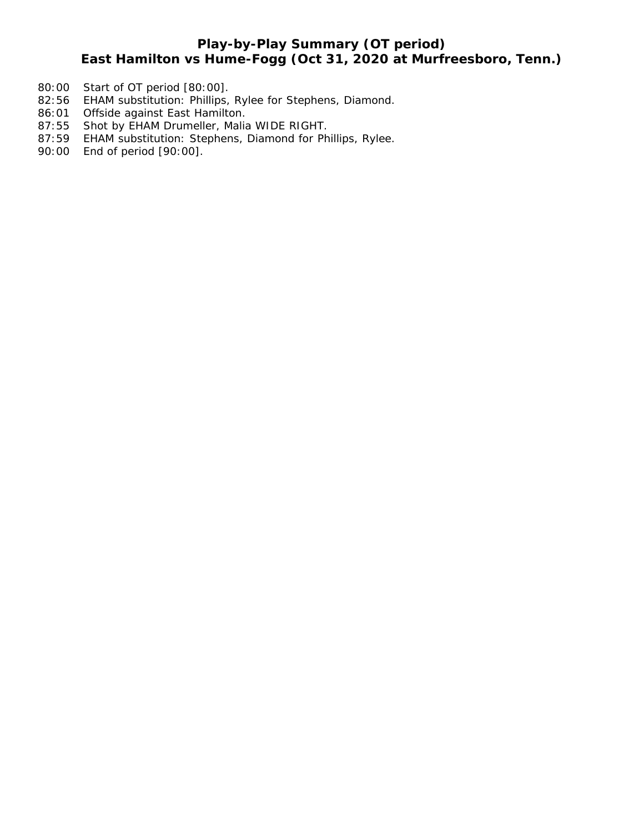# **Play-by-Play Summary (OT period)**

# **East Hamilton vs Hume-Fogg (Oct 31, 2020 at Murfreesboro, Tenn.)**

- 80:00 Start of OT period [80:00].
- 82:56 EHAM substitution: Phillips, Rylee for Stephens, Diamond.
- 86:01 Offside against East Hamilton.
- 87:55 Shot by EHAM Drumeller, Malia WIDE RIGHT.
- 87:59 EHAM substitution: Stephens, Diamond for Phillips, Rylee.
- 90:00 End of period [90:00].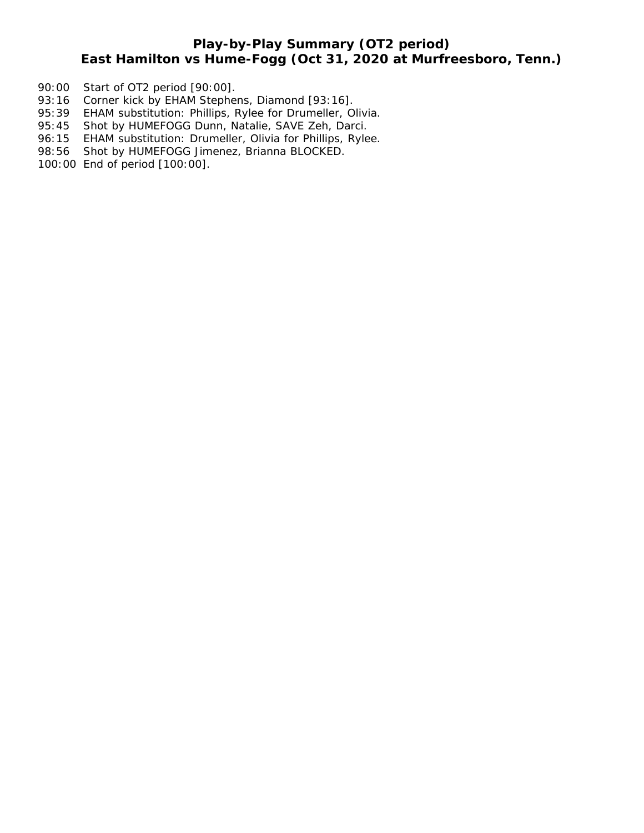# **Play-by-Play Summary (OT2 period) East Hamilton vs Hume-Fogg (Oct 31, 2020 at Murfreesboro, Tenn.)**

- 90:00 Start of OT2 period [90:00].
- 93:16 Corner kick by EHAM Stephens, Diamond [93:16].
- 95:39 EHAM substitution: Phillips, Rylee for Drumeller, Olivia.
- 95:45 Shot by HUMEFOGG Dunn, Natalie, SAVE Zeh, Darci.
- 96:15 EHAM substitution: Drumeller, Olivia for Phillips, Rylee.
- 98:56 Shot by HUMEFOGG Jimenez, Brianna BLOCKED.
- 100:00 End of period [100:00].